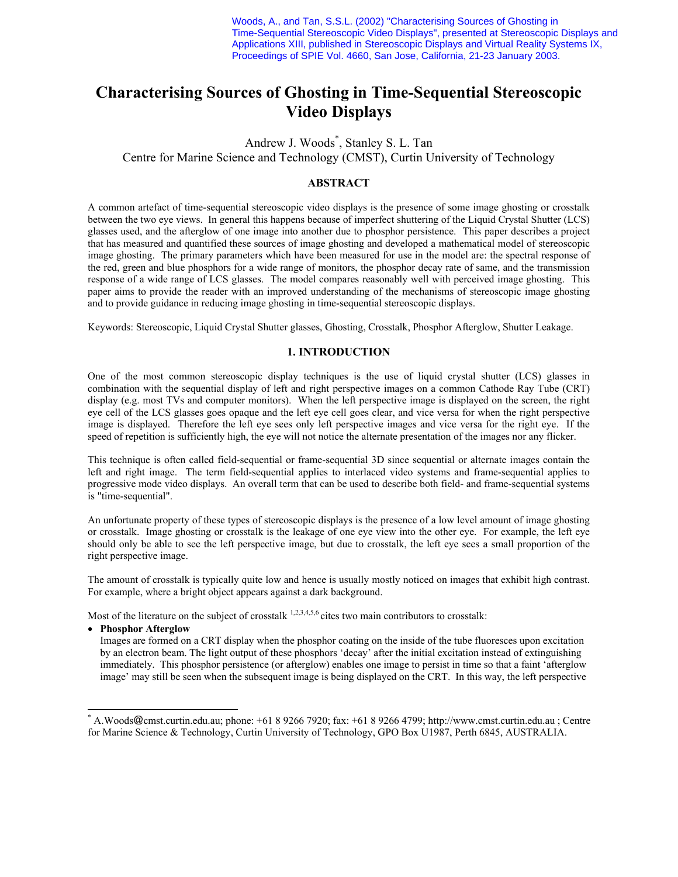Woods, A., and Tan, S.S.L. (2002) "Characterising Sources of Ghosting in Time-Sequential Stereoscopic Video Displays", presented at Stereoscopic Displays and Applications XIII, published in Stereoscopic Displays and Virtual Reality Systems IX, Proceedings of SPIE Vol. 4660, San Jose, California, 21-23 January 2003.

# **Characterising Sources of Ghosting in Time-Sequential Stereoscopic Video Displays**

Andrew J. Woods\* , Stanley S. L. Tan Centre for Marine Science and Technology (CMST), Curtin University of Technology

## **ABSTRACT**

A common artefact of time-sequential stereoscopic video displays is the presence of some image ghosting or crosstalk between the two eye views. In general this happens because of imperfect shuttering of the Liquid Crystal Shutter (LCS) glasses used, and the afterglow of one image into another due to phosphor persistence. This paper describes a project that has measured and quantified these sources of image ghosting and developed a mathematical model of stereoscopic image ghosting. The primary parameters which have been measured for use in the model are: the spectral response of the red, green and blue phosphors for a wide range of monitors, the phosphor decay rate of same, and the transmission response of a wide range of LCS glasses. The model compares reasonably well with perceived image ghosting. This paper aims to provide the reader with an improved understanding of the mechanisms of stereoscopic image ghosting and to provide guidance in reducing image ghosting in time-sequential stereoscopic displays.

Keywords: Stereoscopic, Liquid Crystal Shutter glasses, Ghosting, Crosstalk, Phosphor Afterglow, Shutter Leakage.

#### **1. INTRODUCTION**

One of the most common stereoscopic display techniques is the use of liquid crystal shutter (LCS) glasses in combination with the sequential display of left and right perspective images on a common Cathode Ray Tube (CRT) display (e.g. most TVs and computer monitors). When the left perspective image is displayed on the screen, the right eye cell of the LCS glasses goes opaque and the left eye cell goes clear, and vice versa for when the right perspective image is displayed. Therefore the left eye sees only left perspective images and vice versa for the right eye. If the speed of repetition is sufficiently high, the eye will not notice the alternate presentation of the images nor any flicker.

This technique is often called field-sequential or frame-sequential 3D since sequential or alternate images contain the left and right image. The term field-sequential applies to interlaced video systems and frame-sequential applies to progressive mode video displays. An overall term that can be used to describe both field- and frame-sequential systems is "time-sequential".

An unfortunate property of these types of stereoscopic displays is the presence of a low level amount of image ghosting or crosstalk. Image ghosting or crosstalk is the leakage of one eye view into the other eye. For example, the left eye should only be able to see the left perspective image, but due to crosstalk, the left eye sees a small proportion of the right perspective image.

The amount of crosstalk is typically quite low and hence is usually mostly noticed on images that exhibit high contrast. For example, where a bright object appears against a dark background.

Most of the literature on the subject of crosstalk  $1,2,3,4,5,6$  cites two main contributors to crosstalk:

• **Phosphor Afterglow**

l

Images are formed on a CRT display when the phosphor coating on the inside of the tube fluoresces upon excitation by an electron beam. The light output of these phosphors 'decay' after the initial excitation instead of extinguishing immediately. This phosphor persistence (or afterglow) enables one image to persist in time so that a faint 'afterglow image' may still be seen when the subsequent image is being displayed on the CRT. In this way, the left perspective

<sup>\*</sup> A.Woods @cmst.curtin.edu.au; phone: +61 8 9266 7920; fax: +61 8 9266 4799; http://www.cmst.curtin.edu.au ; Centre for Marine Science & Technology, Curtin University of Technology, GPO Box U1987, Perth 6845, AUSTRALIA.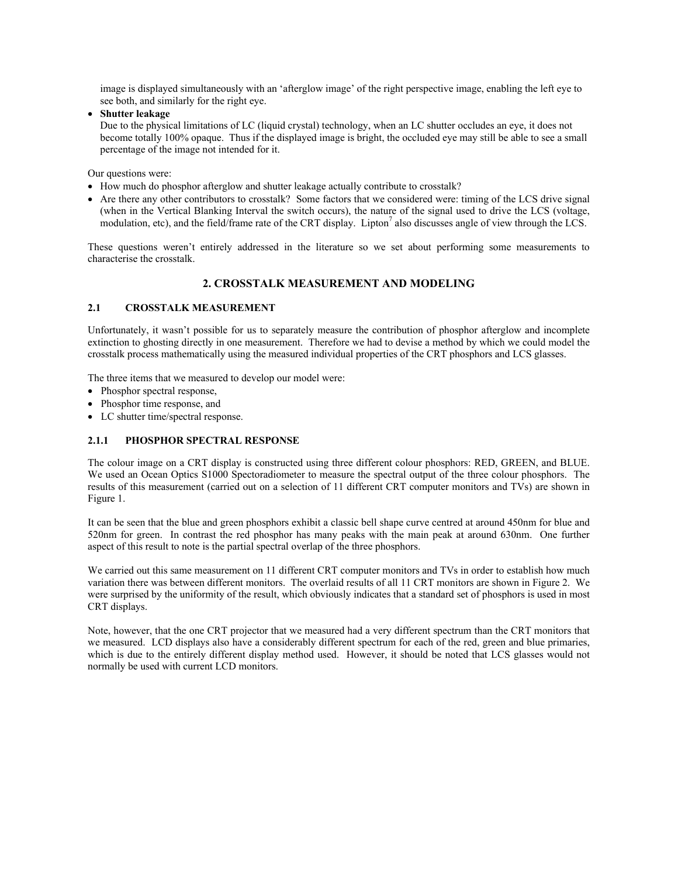image is displayed simultaneously with an 'afterglow image' of the right perspective image, enabling the left eye to see both, and similarly for the right eye.

• **Shutter leakage**

Due to the physical limitations of LC (liquid crystal) technology, when an LC shutter occludes an eye, it does not become totally 100% opaque. Thus if the displayed image is bright, the occluded eye may still be able to see a small percentage of the image not intended for it.

Our questions were:

- How much do phosphor afterglow and shutter leakage actually contribute to crosstalk?
- Are there any other contributors to crosstalk? Some factors that we considered were: timing of the LCS drive signal (when in the Vertical Blanking Interval the switch occurs), the nature of the signal used to drive the LCS (voltage, modulation, etc), and the field/frame rate of the CRT display. Lipton<sup>7</sup> also discusses angle of view through the LCS.

These questions weren't entirely addressed in the literature so we set about performing some measurements to characterise the crosstalk.

## **2. CROSSTALK MEASUREMENT AND MODELING**

## **2.1 CROSSTALK MEASUREMENT**

Unfortunately, it wasn't possible for us to separately measure the contribution of phosphor afterglow and incomplete extinction to ghosting directly in one measurement. Therefore we had to devise a method by which we could model the crosstalk process mathematically using the measured individual properties of the CRT phosphors and LCS glasses.

The three items that we measured to develop our model were:

- Phosphor spectral response,
- Phosphor time response, and
- LC shutter time/spectral response.

#### **2.1.1 PHOSPHOR SPECTRAL RESPONSE**

The colour image on a CRT display is constructed using three different colour phosphors: RED, GREEN, and BLUE. We used an Ocean Optics S1000 Spectoradiometer to measure the spectral output of the three colour phosphors. The results of this measurement (carried out on a selection of 11 different CRT computer monitors and TVs) are shown in Figure 1.

It can be seen that the blue and green phosphors exhibit a classic bell shape curve centred at around 450nm for blue and 520nm for green. In contrast the red phosphor has many peaks with the main peak at around 630nm. One further aspect of this result to note is the partial spectral overlap of the three phosphors.

We carried out this same measurement on 11 different CRT computer monitors and TVs in order to establish how much variation there was between different monitors. The overlaid results of all 11 CRT monitors are shown in Figure 2. We were surprised by the uniformity of the result, which obviously indicates that a standard set of phosphors is used in most CRT displays.

Note, however, that the one CRT projector that we measured had a very different spectrum than the CRT monitors that we measured. LCD displays also have a considerably different spectrum for each of the red, green and blue primaries, which is due to the entirely different display method used. However, it should be noted that LCS glasses would not normally be used with current LCD monitors.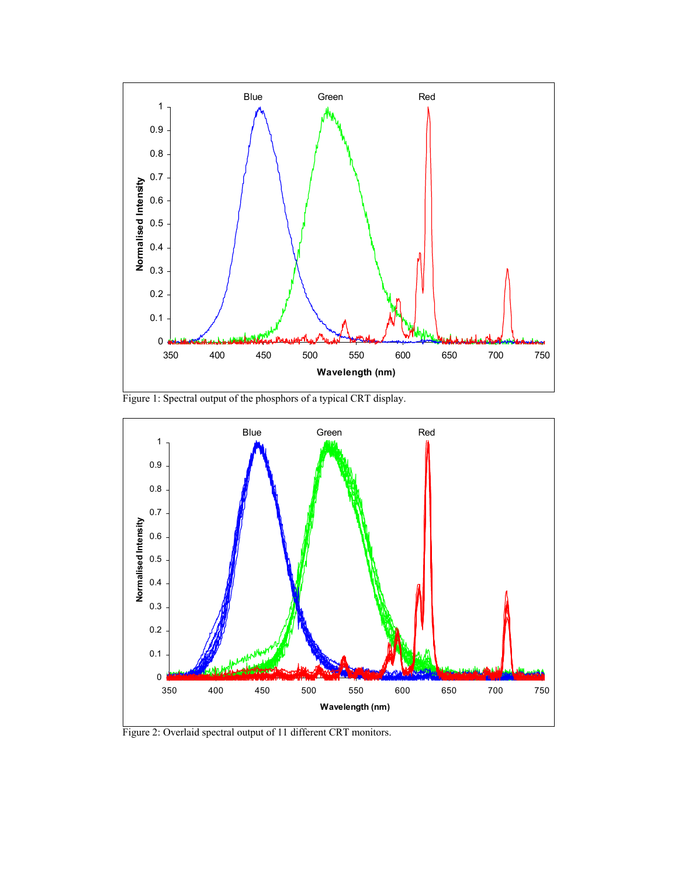





Figure 2: Overlaid spectral output of 11 different CRT monitors.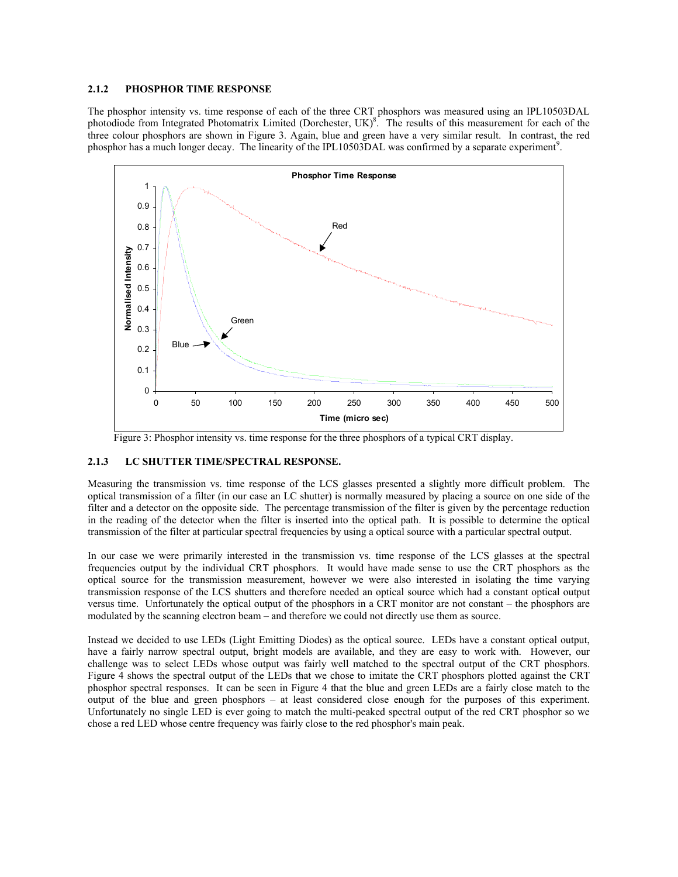#### **2.1.2 PHOSPHOR TIME RESPONSE**

The phosphor intensity vs. time response of each of the three CRT phosphors was measured using an IPL10503DAL photodiode from Integrated Photomatrix Limited (Dorchester,  $UK$ )<sup>8</sup>. The results of this measurement for each of the three colour phosphors are shown in Figure 3. Again, blue and green have a very similar result. In contrast, the red phosphor has a much longer decay. The linearity of the IPL10503DAL was confirmed by a separate experiment<sup>9</sup>.



Figure 3: Phosphor intensity vs. time response for the three phosphors of a typical CRT display.

#### **2.1.3 LC SHUTTER TIME/SPECTRAL RESPONSE.**

Measuring the transmission vs. time response of the LCS glasses presented a slightly more difficult problem. The optical transmission of a filter (in our case an LC shutter) is normally measured by placing a source on one side of the filter and a detector on the opposite side. The percentage transmission of the filter is given by the percentage reduction in the reading of the detector when the filter is inserted into the optical path. It is possible to determine the optical transmission of the filter at particular spectral frequencies by using a optical source with a particular spectral output.

In our case we were primarily interested in the transmission vs. time response of the LCS glasses at the spectral frequencies output by the individual CRT phosphors. It would have made sense to use the CRT phosphors as the optical source for the transmission measurement, however we were also interested in isolating the time varying transmission response of the LCS shutters and therefore needed an optical source which had a constant optical output versus time. Unfortunately the optical output of the phosphors in a CRT monitor are not constant – the phosphors are modulated by the scanning electron beam – and therefore we could not directly use them as source.

Instead we decided to use LEDs (Light Emitting Diodes) as the optical source. LEDs have a constant optical output, have a fairly narrow spectral output, bright models are available, and they are easy to work with. However, our challenge was to select LEDs whose output was fairly well matched to the spectral output of the CRT phosphors. Figure 4 shows the spectral output of the LEDs that we chose to imitate the CRT phosphors plotted against the CRT phosphor spectral responses. It can be seen in Figure 4 that the blue and green LEDs are a fairly close match to the output of the blue and green phosphors – at least considered close enough for the purposes of this experiment. Unfortunately no single LED is ever going to match the multi-peaked spectral output of the red CRT phosphor so we chose a red LED whose centre frequency was fairly close to the red phosphor's main peak.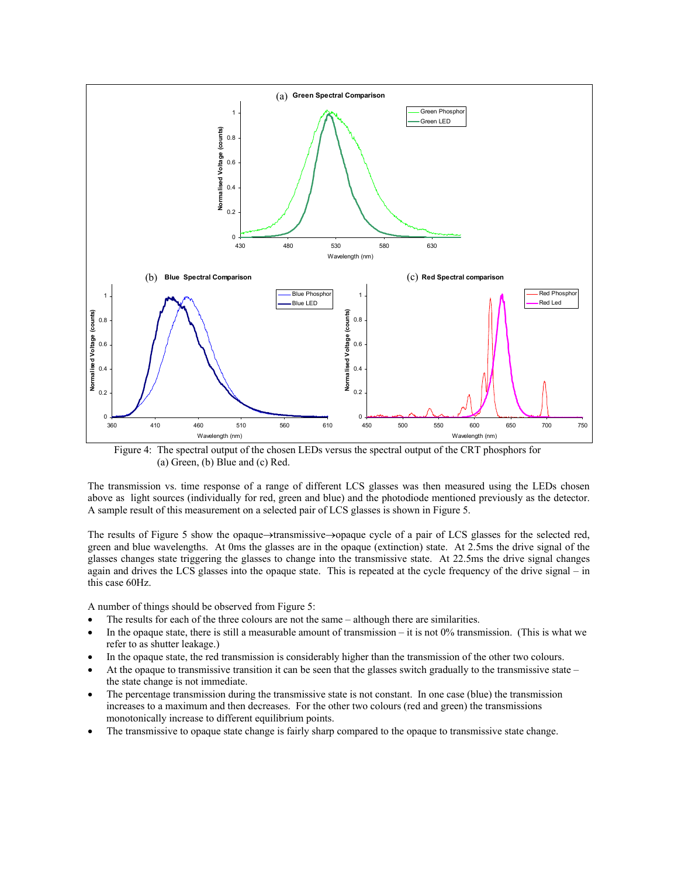

Figure 4: The spectral output of the chosen LEDs versus the spectral output of the CRT phosphors for (a) Green, (b) Blue and (c) Red.

The transmission vs. time response of a range of different LCS glasses was then measured using the LEDs chosen above as light sources (individually for red, green and blue) and the photodiode mentioned previously as the detector. A sample result of this measurement on a selected pair of LCS glasses is shown in Figure 5.

The results of Figure 5 show the opaque→transmissive→opaque cycle of a pair of LCS glasses for the selected red, green and blue wavelengths. At 0ms the glasses are in the opaque (extinction) state. At 2.5ms the drive signal of the glasses changes state triggering the glasses to change into the transmissive state. At 22.5ms the drive signal changes again and drives the LCS glasses into the opaque state. This is repeated at the cycle frequency of the drive signal – in this case 60Hz.

A number of things should be observed from Figure 5:

- The results for each of the three colours are not the same although there are similarities.
- In the opaque state, there is still a measurable amount of transmission it is not  $0\%$  transmission. (This is what we refer to as shutter leakage.)
- In the opaque state, the red transmission is considerably higher than the transmission of the other two colours.
- At the opaque to transmissive transition it can be seen that the glasses switch gradually to the transmissive state the state change is not immediate.
- The percentage transmission during the transmissive state is not constant. In one case (blue) the transmission increases to a maximum and then decreases. For the other two colours (red and green) the transmissions monotonically increase to different equilibrium points.
- The transmissive to opaque state change is fairly sharp compared to the opaque to transmissive state change.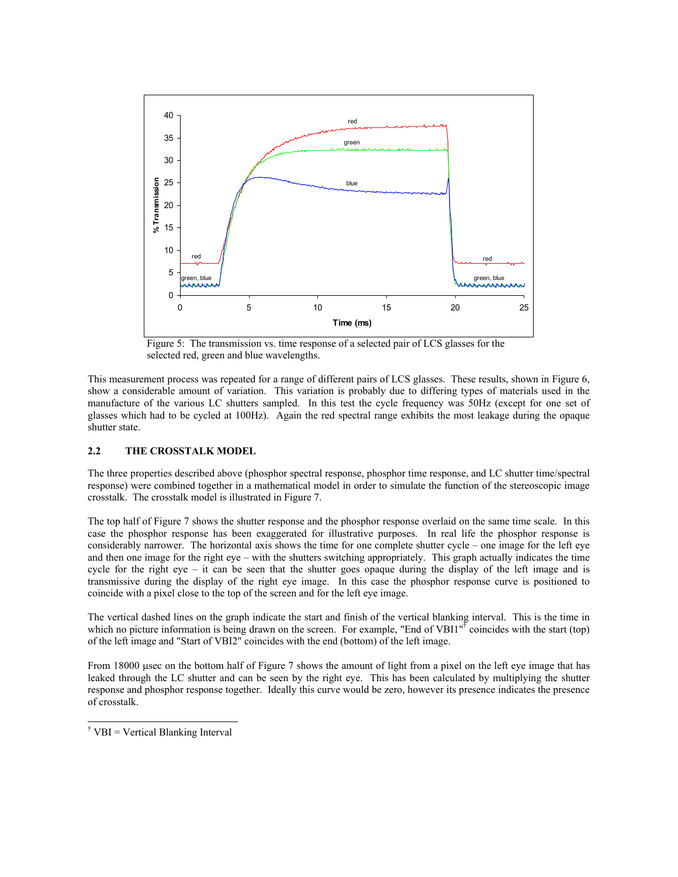

Figure 5: The transmission vs. time response of a selected pair of LCS glasses for the selected red, green and blue wavelengths.

This measurement process was repeated for a range of different pairs of LCS glasses. These results, shown in Figure 6, show a considerable amount of variation. This variation is probably due to differing types of materials used in the manufacture of the various LC shutters sampled. In this test the cycle frequency was 50Hz (except for one set of glasses which had to be cycled at 100Hz). Again the red spectral range exhibits the most leakage during the opaque shutter state.

## **2.2 THE CROSSTALK MODEL**

The three properties described above (phosphor spectral response, phosphor time response, and LC shutter time/spectral response) were combined together in a mathematical model in order to simulate the function of the stereoscopic image crosstalk. The crosstalk model is illustrated in Figure 7.

The top half of Figure 7 shows the shutter response and the phosphor response overlaid on the same time scale. In this case the phosphor response has been exaggerated for illustrative purposes. In real life the phosphor response is considerably narrower. The horizontal axis shows the time for one complete shutter cycle – one image for the left eye and then one image for the right eye – with the shutters switching appropriately. This graph actually indicates the time cycle for the right eye – it can be seen that the shutter goes opaque during the display of the left image and is transmissive during the display of the right eye image. In this case the phosphor response curve is positioned to coincide with a pixel close to the top of the screen and for the left eye image.

The vertical dashed lines on the graph indicate the start and finish of the vertical blanking interval. This is the time in which no picture information is being drawn on the screen. For example, "End of VBI1"<sup> $\uparrow$ </sup> coincides with the start (top) of the left image and "Start of VBI2" coincides with the end (bottom) of the left image.

From 18000 usec on the bottom half of Figure 7 shows the amount of light from a pixel on the left eye image that has leaked through the LC shutter and can be seen by the right eye. This has been calculated by multiplying the shutter response and phosphor response together. Ideally this curve would be zero, however its presence indicates the presence of crosstalk.

l † VBI = Vertical Blanking Interval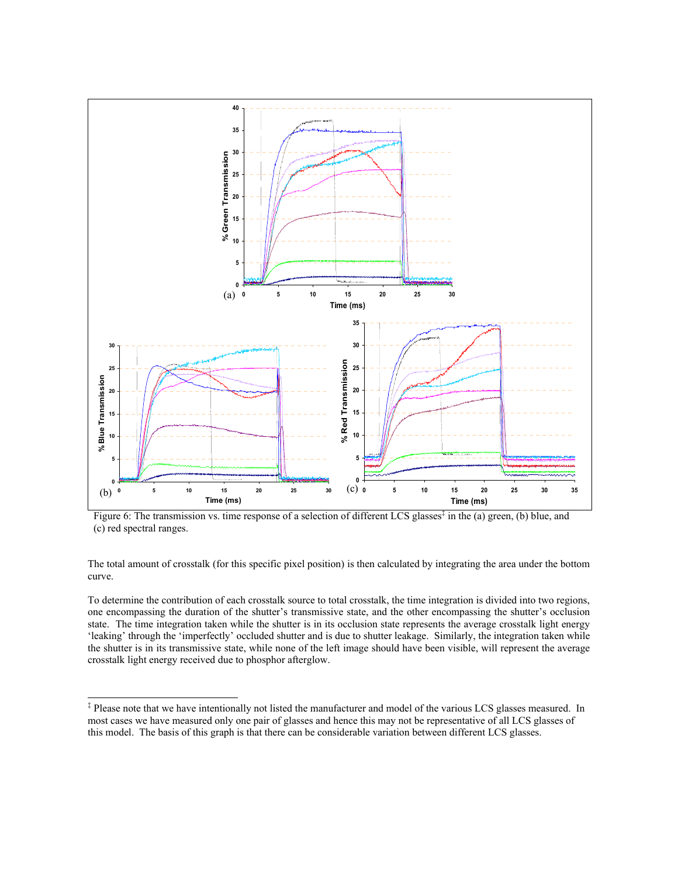

Figure 6: The transmission vs. time response of a selection of different LCS glasses<sup>‡</sup> in the (a) green, (b) blue, and (c) red spectral ranges.

The total amount of crosstalk (for this specific pixel position) is then calculated by integrating the area under the bottom curve.

To determine the contribution of each crosstalk source to total crosstalk, the time integration is divided into two regions, one encompassing the duration of the shutter's transmissive state, and the other encompassing the shutter's occlusion state. The time integration taken while the shutter is in its occlusion state represents the average crosstalk light energy 'leaking' through the 'imperfectly' occluded shutter and is due to shutter leakage. Similarly, the integration taken while the shutter is in its transmissive state, while none of the left image should have been visible, will represent the average crosstalk light energy received due to phosphor afterglow.

l

<sup>&</sup>lt;sup>‡</sup> Please note that we have intentionally not listed the manufacturer and model of the various LCS glasses measured. In most cases we have measured only one pair of glasses and hence this may not be representative of all LCS glasses of this model. The basis of this graph is that there can be considerable variation between different LCS glasses.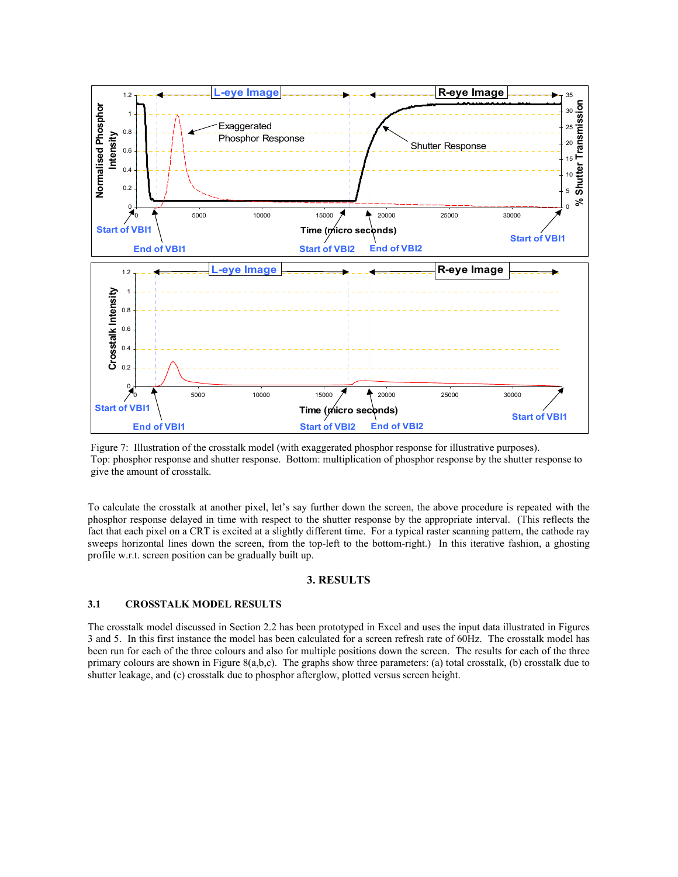

Figure 7: Illustration of the crosstalk model (with exaggerated phosphor response for illustrative purposes). Top: phosphor response and shutter response. Bottom: multiplication of phosphor response by the shutter response to give the amount of crosstalk.

To calculate the crosstalk at another pixel, let's say further down the screen, the above procedure is repeated with the phosphor response delayed in time with respect to the shutter response by the appropriate interval. (This reflects the fact that each pixel on a CRT is excited at a slightly different time. For a typical raster scanning pattern, the cathode ray sweeps horizontal lines down the screen, from the top-left to the bottom-right.) In this iterative fashion, a ghosting profile w.r.t. screen position can be gradually built up.

## **3. RESULTS**

### **3.1 CROSSTALK MODEL RESULTS**

The crosstalk model discussed in Section 2.2 has been prototyped in Excel and uses the input data illustrated in Figures 3 and 5. In this first instance the model has been calculated for a screen refresh rate of 60Hz. The crosstalk model has been run for each of the three colours and also for multiple positions down the screen. The results for each of the three primary colours are shown in Figure 8(a,b,c). The graphs show three parameters: (a) total crosstalk, (b) crosstalk due to shutter leakage, and (c) crosstalk due to phosphor afterglow, plotted versus screen height.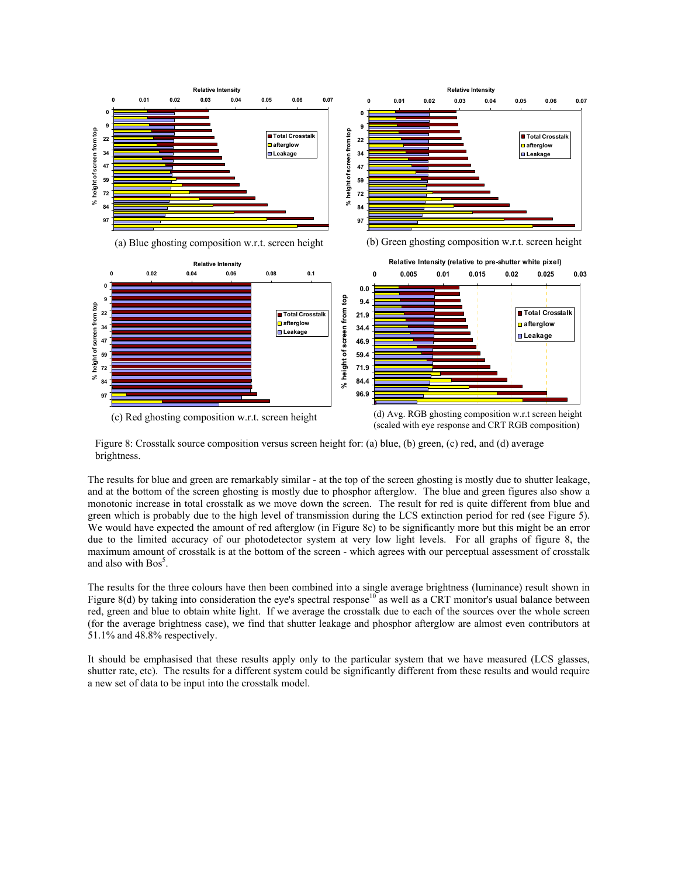

Figure 8: Crosstalk source composition versus screen height for: (a) blue, (b) green, (c) red, and (d) average brightness.

The results for blue and green are remarkably similar - at the top of the screen ghosting is mostly due to shutter leakage, and at the bottom of the screen ghosting is mostly due to phosphor afterglow. The blue and green figures also show a monotonic increase in total crosstalk as we move down the screen. The result for red is quite different from blue and green which is probably due to the high level of transmission during the LCS extinction period for red (see Figure 5). We would have expected the amount of red afterglow (in Figure 8c) to be significantly more but this might be an error due to the limited accuracy of our photodetector system at very low light levels. For all graphs of figure 8, the maximum amount of crosstalk is at the bottom of the screen - which agrees with our perceptual assessment of crosstalk and also with Bos<sup>5</sup>.

The results for the three colours have then been combined into a single average brightness (luminance) result shown in Figure 8(d) by taking into consideration the eye's spectral response<sup>10</sup> as well as a CRT monitor's usual balance between red, green and blue to obtain white light. If we average the crosstalk due to each of the sources over the whole screen (for the average brightness case), we find that shutter leakage and phosphor afterglow are almost even contributors at 51.1% and 48.8% respectively.

It should be emphasised that these results apply only to the particular system that we have measured (LCS glasses, shutter rate, etc). The results for a different system could be significantly different from these results and would require a new set of data to be input into the crosstalk model.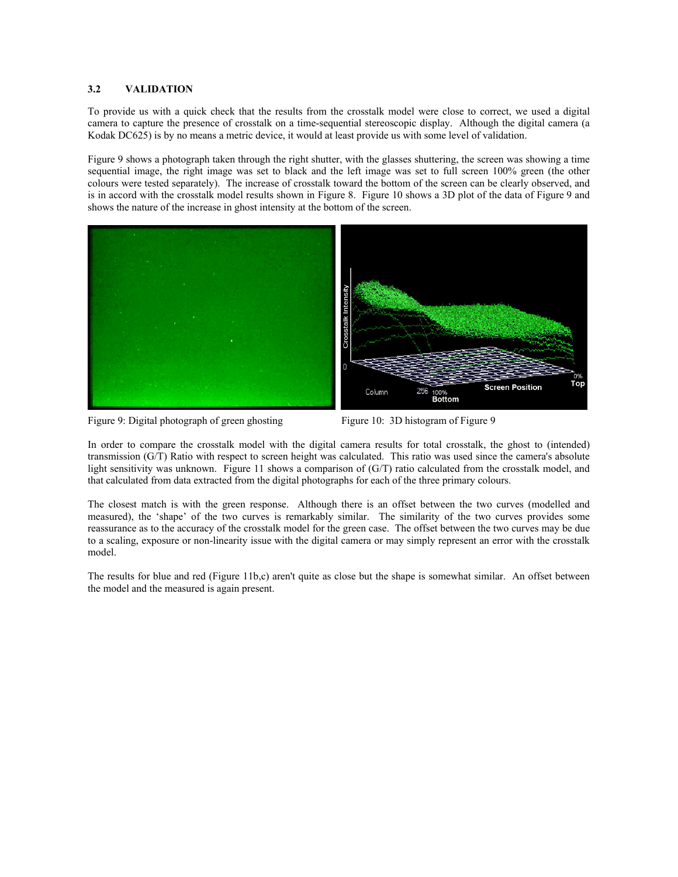## **3.2 VALIDATION**

To provide us with a quick check that the results from the crosstalk model were close to correct, we used a digital camera to capture the presence of crosstalk on a time-sequential stereoscopic display. Although the digital camera (a Kodak DC625) is by no means a metric device, it would at least provide us with some level of validation.

Figure 9 shows a photograph taken through the right shutter, with the glasses shuttering, the screen was showing a time sequential image, the right image was set to black and the left image was set to full screen 100% green (the other colours were tested separately). The increase of crosstalk toward the bottom of the screen can be clearly observed, and is in accord with the crosstalk model results shown in Figure 8. Figure 10 shows a 3D plot of the data of Figure 9 and shows the nature of the increase in ghost intensity at the bottom of the screen.



Figure 9: Digital photograph of green ghosting Figure 10: 3D histogram of Figure 9

In order to compare the crosstalk model with the digital camera results for total crosstalk, the ghost to (intended) transmission (G/T) Ratio with respect to screen height was calculated. This ratio was used since the camera's absolute light sensitivity was unknown. Figure 11 shows a comparison of (G/T) ratio calculated from the crosstalk model, and that calculated from data extracted from the digital photographs for each of the three primary colours.

The closest match is with the green response. Although there is an offset between the two curves (modelled and measured), the 'shape' of the two curves is remarkably similar. The similarity of the two curves provides some reassurance as to the accuracy of the crosstalk model for the green case. The offset between the two curves may be due to a scaling, exposure or non-linearity issue with the digital camera or may simply represent an error with the crosstalk model.

The results for blue and red (Figure 11b,c) aren't quite as close but the shape is somewhat similar. An offset between the model and the measured is again present.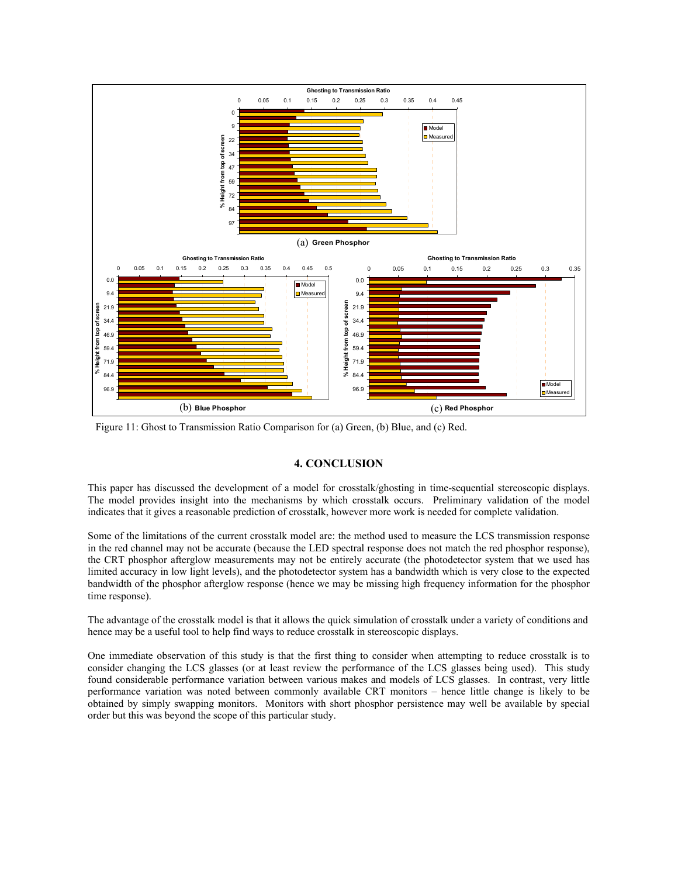

Figure 11: Ghost to Transmission Ratio Comparison for (a) Green, (b) Blue, and (c) Red.

#### **4. CONCLUSION**

This paper has discussed the development of a model for crosstalk/ghosting in time-sequential stereoscopic displays. The model provides insight into the mechanisms by which crosstalk occurs. Preliminary validation of the model indicates that it gives a reasonable prediction of crosstalk, however more work is needed for complete validation.

Some of the limitations of the current crosstalk model are: the method used to measure the LCS transmission response in the red channel may not be accurate (because the LED spectral response does not match the red phosphor response), the CRT phosphor afterglow measurements may not be entirely accurate (the photodetector system that we used has limited accuracy in low light levels), and the photodetector system has a bandwidth which is very close to the expected bandwidth of the phosphor afterglow response (hence we may be missing high frequency information for the phosphor time response).

The advantage of the crosstalk model is that it allows the quick simulation of crosstalk under a variety of conditions and hence may be a useful tool to help find ways to reduce crosstalk in stereoscopic displays.

One immediate observation of this study is that the first thing to consider when attempting to reduce crosstalk is to consider changing the LCS glasses (or at least review the performance of the LCS glasses being used). This study found considerable performance variation between various makes and models of LCS glasses. In contrast, very little performance variation was noted between commonly available CRT monitors – hence little change is likely to be obtained by simply swapping monitors. Monitors with short phosphor persistence may well be available by special order but this was beyond the scope of this particular study.